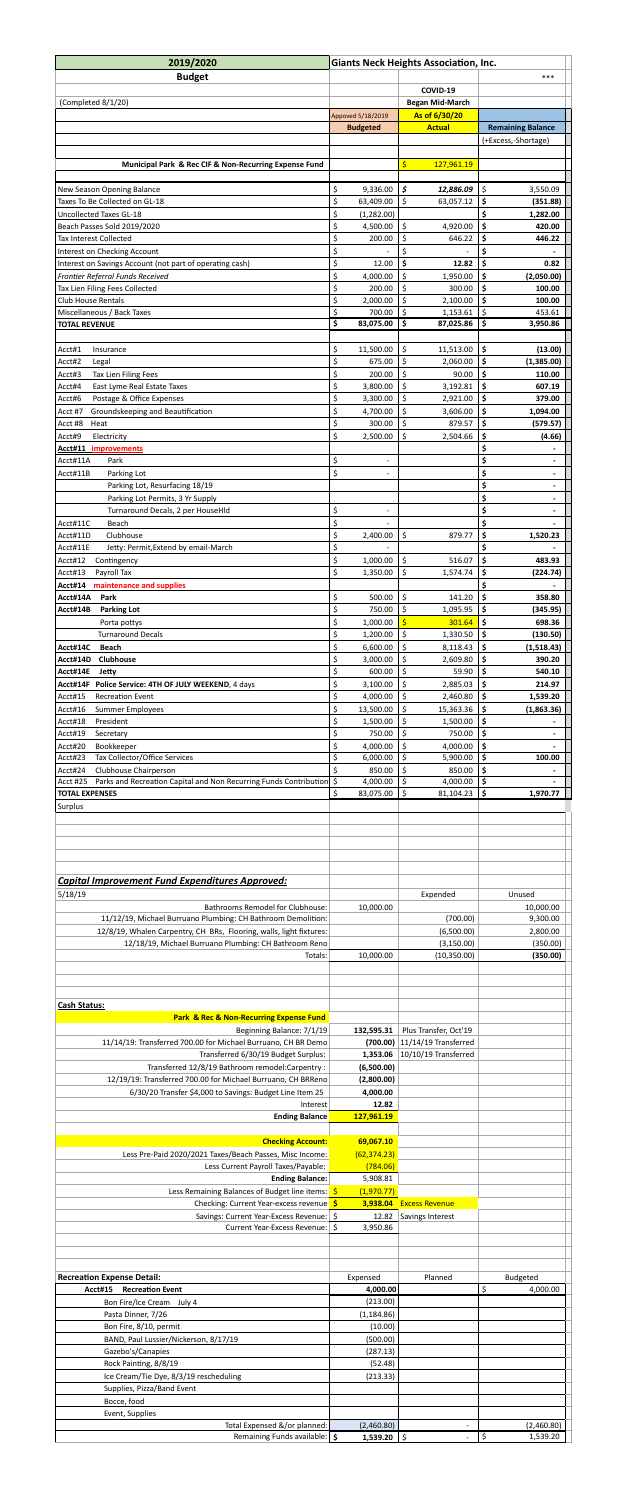| 2019/2020                                                                                                                           |                                  | <b>Giants Neck Heights Association, Inc.</b> |                                                        |  |  |  |
|-------------------------------------------------------------------------------------------------------------------------------------|----------------------------------|----------------------------------------------|--------------------------------------------------------|--|--|--|
| <b>Budget</b>                                                                                                                       | ***                              |                                              |                                                        |  |  |  |
| (Completed 8/1/20)                                                                                                                  |                                  | COVID-19<br><b>Began Mid-March</b>           |                                                        |  |  |  |
|                                                                                                                                     | Appoved 5/18/2019                | As of 6/30/20                                |                                                        |  |  |  |
|                                                                                                                                     | <b>Budgeted</b>                  | <b>Actual</b>                                | <b>Remaining Balance</b>                               |  |  |  |
|                                                                                                                                     |                                  |                                              | (+Excess,-Shortage)                                    |  |  |  |
| Municipal Park & Rec CIF & Non-Recurring Expense Fund                                                                               |                                  | \$<br>127,961.19                             |                                                        |  |  |  |
|                                                                                                                                     | \$<br>9,336.00                   | \$<br>12,886.09                              | \$                                                     |  |  |  |
| New Season Opening Balance<br>Taxes To Be Collected on GL-18                                                                        | \$<br>63,409.00                  | \$<br>63,057.12                              | 3,550.09<br>\$<br>(351.88)                             |  |  |  |
| <b>Uncollected Taxes GL-18</b>                                                                                                      | \$<br>(1,282.00)                 |                                              | \$<br>1,282.00                                         |  |  |  |
| Beach Passes Sold 2019/2020<br>Tax Interest Collected                                                                               | \$<br>4,500.00                   | \$<br>4,920.00<br>646.22                     | \$<br>420.00                                           |  |  |  |
| Interest on Checking Account                                                                                                        | \$<br>200.00<br>\$               | \$<br>\$                                     | \$<br>446.22<br>\$                                     |  |  |  |
| Interest on Savings Account (not part of operating cash)                                                                            | \$<br>12.00                      | \$<br>12.82                                  | \$<br>0.82                                             |  |  |  |
| Frontier Referral Funds Received                                                                                                    | \$<br>4,000.00                   | \$<br>1,950.00<br>\$<br>300.00               | \$<br>(2,050.00)<br>100.00                             |  |  |  |
| Tax Lien Filing Fees Collected<br><b>Club House Rentals</b>                                                                         | \$<br>200.00<br>\$<br>2,000.00   | \$<br>2,100.00                               | \$<br>\$<br>100.00                                     |  |  |  |
| Miscellaneous / Back Taxes                                                                                                          | \$<br>700.00                     | \$<br>1,153.61                               | \$<br>453.61                                           |  |  |  |
| <b>TOTAL REVENUE</b>                                                                                                                | \$<br>83,075.00                  | \$<br>87,025.86                              | \$<br>3,950.86                                         |  |  |  |
| Acct#1<br>Insurance                                                                                                                 | \$<br>11,500.00                  | \$<br>11,513.00                              | \$<br>(13.00)                                          |  |  |  |
| Acct#2<br>Legal                                                                                                                     | \$<br>675.00                     | \$<br>2,060.00                               | \$<br>(1,385.00)                                       |  |  |  |
| Acct#3<br>Tax Lien Filing Fees<br>East Lyme Real Estate Taxes<br>Acct#4                                                             | \$<br>200.00<br>\$<br>3,800.00   | \$<br>90.00<br>\$<br>3,192.81                | \$<br>110.00<br>\$<br>607.19                           |  |  |  |
| Postage & Office Expenses<br>Acct#6                                                                                                 | Ś<br>3,300.00                    | $\mathsf{\dot{S}}$<br>2,921.00               | Ś.<br>379.00                                           |  |  |  |
| Groundskeeping and Beautification<br>Acct #7                                                                                        | \$<br>4,700.00                   | \$<br>3,606.00                               | \$<br>1,094.00                                         |  |  |  |
| Acct #8<br>Heat<br>Acct#9<br>Electricity                                                                                            | \$<br>300.00<br>\$<br>2,500.00   | \$<br>879.57<br>\$<br>2,504.66               | \$<br>(579.57)<br>\$<br>(4.66)                         |  |  |  |
| Acct#11 improvements                                                                                                                |                                  |                                              | \$                                                     |  |  |  |
| Acct#11A<br>Park                                                                                                                    | \$<br>$\overline{\phantom{a}}$   |                                              | \$<br>-                                                |  |  |  |
| Acct#11B<br>Parking Lot<br>Parking Lot, Resurfacing 18/19                                                                           | \$<br>$\overline{\phantom{a}}$   |                                              | \$<br>$\blacksquare$<br>\$<br>$\overline{\phantom{0}}$ |  |  |  |
| Parking Lot Permits, 3 Yr Supply                                                                                                    |                                  |                                              | \$<br>$\overline{\phantom{0}}$                         |  |  |  |
| Turnaround Decals, 2 per HouseHld                                                                                                   | \$<br>$\overline{\phantom{a}}$   |                                              | \$<br>$\blacksquare$                                   |  |  |  |
| Acct#11C<br>Beach<br>Acct#11D<br>Clubhouse                                                                                          | \$<br>\$<br>2,400.00             | \$<br>879.77                                 | \$<br>\$                                               |  |  |  |
| Acct#11E<br>Jetty: Permit, Extend by email-March                                                                                    | \$                               |                                              | 1,520.23<br>\$                                         |  |  |  |
| Acct#12<br>Contingency                                                                                                              | \$<br>1,000.00                   | \$<br>516.07                                 | \$<br>483.93                                           |  |  |  |
| Acct#13<br>Payroll Tax                                                                                                              | \$<br>1,350.00                   | \$<br>1,574.74                               | \$<br>(224.74)                                         |  |  |  |
| Acct#14<br>maintenance and supplies<br>Acct#14A<br>Park                                                                             | \$<br>500.00                     | \$<br>141.20                                 | \$<br>358.80                                           |  |  |  |
| Acct#14B<br><b>Parking Lot</b>                                                                                                      | \$<br>750.00                     | \$<br>1,095.95                               | \$<br>(345.95)                                         |  |  |  |
| Porta pottys                                                                                                                        | \$<br>1,000.00                   | 301.64                                       | \$<br>698.36                                           |  |  |  |
| <b>Turnaround Decals</b><br><b>Beach</b><br>Acct#14C                                                                                | \$<br>1,200.00<br>\$<br>6,600.00 | \$<br>1,330.50<br>\$<br>8,118.43             | \$<br>(130.50)<br>\$<br>(1,518.43)                     |  |  |  |
| <b>Clubhouse</b><br>Acct#14D                                                                                                        | \$<br>3,000.00                   | 2,609.80                                     | \$<br>390.20                                           |  |  |  |
| Acct#14E<br>Jetty                                                                                                                   | \$<br>600.00                     | \$<br>59.90                                  | \$<br>540.10                                           |  |  |  |
| Acct#14F Police Service: 4TH OF JULY WEEKEND, 4 days<br>Acct#15<br><b>Recreation Event</b>                                          | \$<br>3,100.00<br>\$<br>4,000.00 | \$<br>2,885.03<br>2,460.80                   | \$<br>214.97<br>\$<br>1,539.20                         |  |  |  |
| Acct#16<br><b>Summer Employees</b>                                                                                                  | \$<br>13,500.00                  | \$<br>15,363.36                              | \$<br>(1,863.36)                                       |  |  |  |
| President<br>Acct#18                                                                                                                | \$<br>1,500.00                   | \$<br>1,500.00                               | \$                                                     |  |  |  |
| Acct#19<br>Secretary<br>Acct#20<br>Bookkeeper                                                                                       | \$<br>750.00<br>\$<br>4,000.00   | 750.00<br>\$<br>4,000.00                     | \$<br>-<br>\$<br>-                                     |  |  |  |
| Acct#23<br>Tax Collector/Office Services                                                                                            | \$<br>6,000.00                   | \$<br>5,900.00                               | \$<br>100.00                                           |  |  |  |
| Clubhouse Chairperson<br>Acct#24                                                                                                    | \$<br>850.00                     | \$<br>850.00                                 | \$                                                     |  |  |  |
| Parks and Recreation Capital and Non Recurring Funds Contribution \$<br><b>Acct #25</b><br><b>TOTAL EXPENSES</b>                    | 4,000.00<br>\$<br>83,075.00      | \$<br>4,000.00<br>\$<br>81,104.23            | \$<br>\$<br>1,970.77                                   |  |  |  |
| Surplus                                                                                                                             |                                  |                                              |                                                        |  |  |  |
|                                                                                                                                     |                                  |                                              |                                                        |  |  |  |
|                                                                                                                                     |                                  |                                              |                                                        |  |  |  |
| <b>Capital Improvement Fund Expenditures Approved:</b>                                                                              |                                  |                                              |                                                        |  |  |  |
| 5/18/19                                                                                                                             |                                  | Expended                                     | Unused                                                 |  |  |  |
| <b>Bathrooms Remodel for Clubhouse:</b>                                                                                             | 10,000.00                        |                                              | 10,000.00                                              |  |  |  |
| 11/12/19, Michael Burruano Plumbing: CH Bathroom Demolition:<br>12/8/19, Whalen Carpentry, CH BRs, Flooring, walls, light fixtures: |                                  | (700.00)<br>(6,500.00)                       | 9,300.00<br>2,800.00                                   |  |  |  |
| 12/18/19, Michael Burruano Plumbing: CH Bathroom Reno                                                                               |                                  | (3, 150.00)                                  | (350.00)                                               |  |  |  |
| Totals:                                                                                                                             | 10,000.00                        | (10, 350.00)                                 | (350.00)                                               |  |  |  |
|                                                                                                                                     |                                  |                                              |                                                        |  |  |  |
|                                                                                                                                     |                                  |                                              |                                                        |  |  |  |
| <b>Cash Status:</b>                                                                                                                 |                                  |                                              |                                                        |  |  |  |
| <b>Park &amp; Rec &amp; Non-Recurring Expense Fund</b><br>Beginning Balance: 7/1/19                                                 | 132,595.31                       | Plus Transfer, Oct'19                        |                                                        |  |  |  |
| 11/14/19: Transferred 700.00 for Michael Burruano, CH BR Demo                                                                       | (700.00)                         | 11/14/19 Transferred                         |                                                        |  |  |  |
| Transferred 6/30/19 Budget Surplus:                                                                                                 | 1,353.06                         | 10/10/19 Transferred                         |                                                        |  |  |  |
| Transferred 12/8/19 Bathroom remodel:Carpentry:<br>12/19/19: Transferred 700.00 for Michael Burruano, CH BRReno                     | (6,500.00)<br>(2,800.00)         |                                              |                                                        |  |  |  |
| 6/30/20 Transfer \$4,000 to Savings: Budget Line Item 25                                                                            | 4,000.00                         |                                              |                                                        |  |  |  |
| Interest                                                                                                                            | 12.82                            |                                              |                                                        |  |  |  |
| <b>Ending Balance</b>                                                                                                               | 127,961.19                       |                                              |                                                        |  |  |  |
| <b>Checking Account:</b>                                                                                                            | 69,067.10                        |                                              |                                                        |  |  |  |
| Less Pre-Paid 2020/2021 Taxes/Beach Passes, Misc Income:                                                                            | (62, 374.23)                     |                                              |                                                        |  |  |  |
| Less Current Payroll Taxes/Payable:<br><b>Ending Balance:</b>                                                                       | (784.06)<br>5,908.81             |                                              |                                                        |  |  |  |
| Less Remaining Balances of Budget line items: \$                                                                                    | (1,970.77)                       |                                              |                                                        |  |  |  |
| Checking: Current Year-excess revenue \$                                                                                            | 3,938.04                         | <b>Excess Revenue</b>                        |                                                        |  |  |  |
| Savings: Current Year-Excess Revenue: \$<br>Current Year-Excess Revenue:   \$                                                       | 12.82<br>3,950.86                | Savings Interest                             |                                                        |  |  |  |
|                                                                                                                                     |                                  |                                              |                                                        |  |  |  |
|                                                                                                                                     |                                  |                                              |                                                        |  |  |  |
| <b>Recreation Expense Detail:</b>                                                                                                   | Expensed                         | Planned                                      | <b>Budgeted</b>                                        |  |  |  |
| <b>Recreation Event</b><br>Acct#15                                                                                                  | 4,000.00                         |                                              | \$<br>4,000.00                                         |  |  |  |
| Bon Fire/Ice Cream<br>July 4                                                                                                        | (213.00)                         |                                              |                                                        |  |  |  |
| Pasta Dinner, 7/26<br>Bon Fire, 8/10, permit                                                                                        | (1, 184.86)<br>(10.00)           |                                              |                                                        |  |  |  |
| BAND, Paul Lussier/Nickerson, 8/17/19                                                                                               | (500.00)                         |                                              |                                                        |  |  |  |
| Gazebo's/Canapies                                                                                                                   | (287.13)                         |                                              |                                                        |  |  |  |
| Rock Painting, 8/8/19<br>Ice Cream/Tie Dye, 8/3/19 rescheduling                                                                     | (52.48)                          |                                              |                                                        |  |  |  |
| Supplies, Pizza/Band Event                                                                                                          |                                  |                                              |                                                        |  |  |  |
|                                                                                                                                     | (213.33)                         |                                              |                                                        |  |  |  |
| Bocce, food                                                                                                                         |                                  |                                              |                                                        |  |  |  |
| Event, Supplies<br>Total Expensed &/or planned:                                                                                     | (2,460.80)                       | $\qquad \qquad -$                            | (2,460.80)                                             |  |  |  |